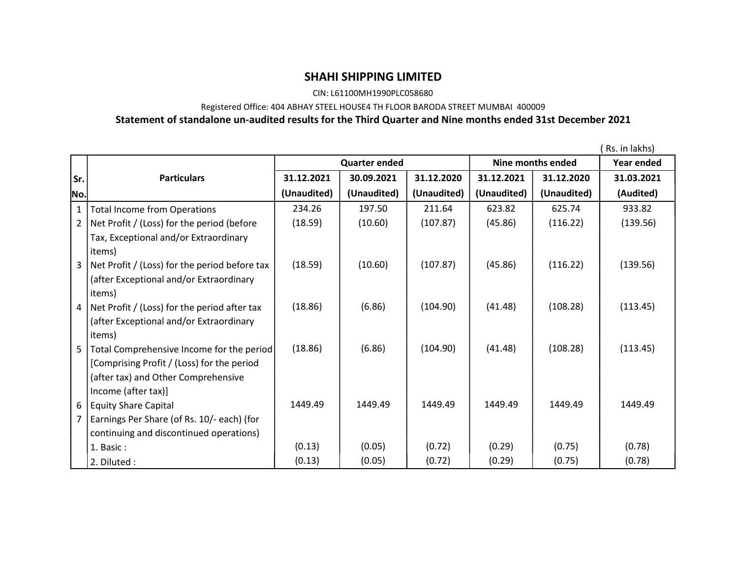## SHAHI SHIPPING LIMITED

CIN: L61100MH1990PLC058680

Registered Office: 404 ABHAY STEEL HOUSE4 TH FLOOR BARODA STREET MUMBAI 400009

## Statement of standalone un-audited results for the Third Quarter and Nine months ended 31st December 2021

|              |                                               |                      |             |             |                   |             | Rs. in lakhs) |
|--------------|-----------------------------------------------|----------------------|-------------|-------------|-------------------|-------------|---------------|
|              |                                               | <b>Quarter ended</b> |             |             | Nine months ended |             | Year ended    |
| Sr.          | <b>Particulars</b>                            | 31.12.2021           | 30.09.2021  | 31.12.2020  | 31.12.2021        | 31.12.2020  | 31.03.2021    |
| No.          |                                               | (Unaudited)          | (Unaudited) | (Unaudited) | (Unaudited)       | (Unaudited) | (Audited)     |
| $\mathbf{1}$ | <b>Total Income from Operations</b>           | 234.26               | 197.50      | 211.64      | 623.82            | 625.74      | 933.82        |
| 2            | Net Profit / (Loss) for the period (before    | (18.59)              | (10.60)     | (107.87)    | (45.86)           | (116.22)    | (139.56)      |
|              | Tax, Exceptional and/or Extraordinary         |                      |             |             |                   |             |               |
|              | items)                                        |                      |             |             |                   |             |               |
| 3            | Net Profit / (Loss) for the period before tax | (18.59)              | (10.60)     | (107.87)    | (45.86)           | (116.22)    | (139.56)      |
|              | (after Exceptional and/or Extraordinary       |                      |             |             |                   |             |               |
|              | items)                                        |                      |             |             |                   |             |               |
| 4            | Net Profit / (Loss) for the period after tax  | (18.86)              | (6.86)      | (104.90)    | (41.48)           | (108.28)    | (113.45)      |
|              | (after Exceptional and/or Extraordinary       |                      |             |             |                   |             |               |
|              | items)                                        |                      |             |             |                   |             |               |
| 5            | Total Comprehensive Income for the period     | (18.86)              | (6.86)      | (104.90)    | (41.48)           | (108.28)    | (113.45)      |
|              | [Comprising Profit / (Loss) for the period    |                      |             |             |                   |             |               |
|              | (after tax) and Other Comprehensive           |                      |             |             |                   |             |               |
|              | Income (after tax)]                           |                      |             |             |                   |             |               |
| 6            | <b>Equity Share Capital</b>                   | 1449.49              | 1449.49     | 1449.49     | 1449.49           | 1449.49     | 1449.49       |
| 7            | Earnings Per Share (of Rs. 10/- each) (for    |                      |             |             |                   |             |               |
|              | continuing and discontinued operations)       |                      |             |             |                   |             |               |
|              | 1. Basic:                                     | (0.13)               | (0.05)      | (0.72)      | (0.29)            | (0.75)      | (0.78)        |
|              | 2. Diluted :                                  | (0.13)               | (0.05)      | (0.72)      | (0.29)            | (0.75)      | (0.78)        |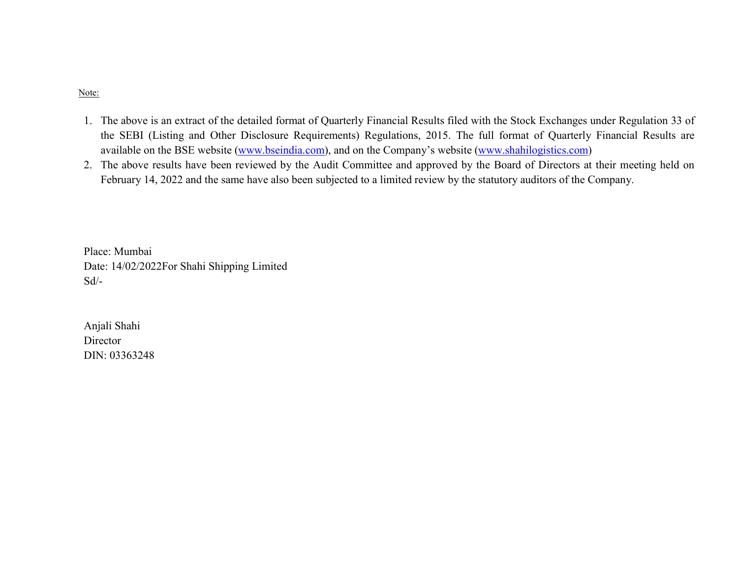## Note:

- 1. The above is an extract of the detailed format of Quarterly Financial Results filed with the Stock Exchanges under Regulation 33 of the SEBI (Listing and Other Disclosure Requirements) Regulations, 2015. The full format of Quarterly Financial Results are available on the BSE website (www.bseindia.com), and on the Company's website (www.shahilogistics.com)
- 2. The above results have been reviewed by the Audit Committee and approved by the Board of Directors at their meeting held on February 14, 2022 and the same have also been subjected to a limited review by the statutory auditors of the Company.

Place: Mumbai Date: 14/02/2022For Shahi Shipping Limited Sd/-

Anjali Shahi Director DIN: 03363248